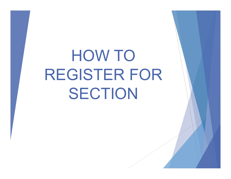# HOW TO REGISTER FOR SECTION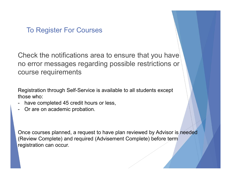#### To Register For Courses

Check the notifications area to ensure that you have no error messages regarding possible restrictions or course requirements To Register For Courses<br>
Check the notifications area to ensure th<br>
no error messages regarding possible re<br>
course requirements<br>
Registration through Self-Service is available to all str<br>
those who:<br>
- have completed 45 c Check the notifications area to er<br>no error messages regarding pos<br>course requirements<br>Registration through Self-Service is available<br>those who:<br>- have completed 45 credit hours or less,<br>- Or are on academic probation.

Registration through Self-Service is available to all students except those who:

- 
- 

Once courses planned, a request to have plan reviewed by Advisor is needed (Review Complete) and required (Advisement Complete) before term registration can occur.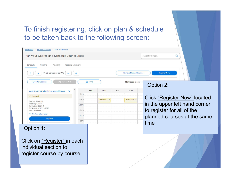## To finish registering, click on plan & schedule to be taken back to the following screen:

| to be taken back to the following screen:                                                        |                     |                               |                                     |
|--------------------------------------------------------------------------------------------------|---------------------|-------------------------------|-------------------------------------|
| Academics Student Planning Plan & Schedule                                                       |                     |                               |                                     |
| Plan your Degree and Schedule your courses                                                       |                     |                               | $\alpha$<br>Search for courses      |
| Schedule<br>Timeline<br>Advising<br>Petitions & Waivers                                          |                     |                               |                                     |
| FA 20 Semester 16 Wk<br>$+$                                                                      |                     | <b>Remove Planned Courses</b> | <b>Register Now</b>                 |
| <b>Y</b> Filter Sections<br>Save to iCal                                                         | <b>A</b> Print      | Planned: 3 Credits            | Option 2:                           |
| <b>AGR-101-01: Introduction to Animal Science</b><br>$\mathsf{x}$<br>9am<br>$\checkmark$ Planned | Sun<br>Mon<br>Tue   | Wed                           |                                     |
| 10am<br>Credits: 3 Credits<br>Grading: Graded                                                    | AGR-101-01 $\times$ | AGR-101-01                    | <b>Click "Register Now" located</b> |
| 11am<br>Instructor: Cash, K<br>8/24/2020 to 12/19/2020                                           |                     |                               | in the upper left hand corner       |
| 12pm<br>Seats Available: 23<br>$\vee$ Meeting Information<br>1pm                                 |                     |                               | to register for all of the          |
| Register<br>2pm                                                                                  |                     |                               | planned courses at the same         |
| Option 1:                                                                                        |                     |                               | time                                |
| Click on "Register" in each                                                                      |                     |                               |                                     |
| individual section to                                                                            |                     |                               |                                     |
| register course by course                                                                        |                     |                               |                                     |
|                                                                                                  |                     |                               |                                     |
|                                                                                                  |                     |                               |                                     |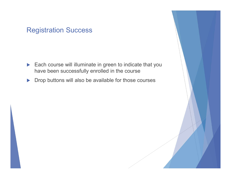#### Registration Success

- Each course will illuminate in green to indicate that you have been successfully enrolled in the course
- **Drop buttons will also be available for those courses**

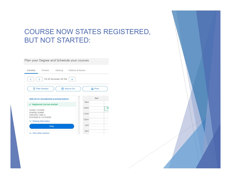### COURSE NOW STATES REGISTERED, BUT NOT STARTED:

| Schedule                                                          | Timeline                                          |                      | Advising Petitions & Waivers |      |                |    |
|-------------------------------------------------------------------|---------------------------------------------------|----------------------|------------------------------|------|----------------|----|
| K                                                                 |                                                   | FA 20 Semester 16 Wk | +                            |      |                |    |
| 77                                                                | <b>Filter Sections</b>                            |                      | Save to iCal                 |      | <b>A</b> Print |    |
|                                                                   | <b>AGR-101-01: Introduction to Animal Science</b> |                      |                              |      | Sun            |    |
|                                                                   | $\checkmark$ Registered, but not started          |                      |                              | 9am  |                |    |
| Credits: 3 Credits                                                |                                                   |                      |                              | 10am |                | AG |
| Grading: Graded<br>Instructor: Cash, K<br>8/24/2020 to 12/19/2020 |                                                   | 11am                 |                              |      |                |    |
|                                                                   | $\vee$ Meeting Information                        |                      |                              | 12pm |                |    |
|                                                                   | <b>Drop</b>                                       |                      |                              | 1pm  |                |    |
|                                                                   | $\vee$ View other sections                        |                      |                              | 2pm  |                |    |

Plan your Degree and Schedule your courses

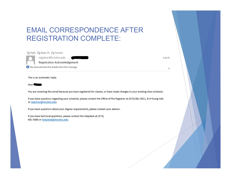### EMAIL CORRESPONDENCE AFTER REGISTRATION COMPLETE:

Q Reply Q Reply All Q Forward registrar@lincolnu.edu **Registration Acknowledgement** We removed extra line breaks from this message.

This is an automatic reply.

Dear<sup></sup>

You are receiving this email because you have registered for classes, or have made changes to your existing class schedule.

If you have questions regarding your schedule, please contact the Office of the Registrar at (573) 681-5011, B-4 Young Hall, or registrar@lincolnu.edu.

If you have questions about your degree requirements, please contact your advisor.

If you have technical questions, please contact the Helpdesk at (573) 681-5888 or helpdesk@lincolnu.edu.

5:48 PM

 $\checkmark$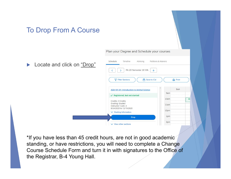#### To Drop From A Course

Locate and click on "Dro

Plan your Degree and Schedule your courses

| " | Schedule<br>Timeline<br>Advising<br>Petitions & Waivers           |                |  |  |  |  |  |  |
|---|-------------------------------------------------------------------|----------------|--|--|--|--|--|--|
|   | FA 20 Semester 16 Wk<br>$+$                                       |                |  |  |  |  |  |  |
|   | Save to iCal<br><b>Filter Sections</b><br>77                      | <b>B</b> Print |  |  |  |  |  |  |
|   | <b>AGR-101-01: Introduction to Animal Science</b>                 | Sun            |  |  |  |  |  |  |
|   | $\checkmark$ Registered, but not started                          | 9am            |  |  |  |  |  |  |
|   | Credits: 3 Credits                                                | 10am<br>AG     |  |  |  |  |  |  |
|   | Grading: Graded<br>Instructor: Cash, K<br>8/24/2020 to 12/19/2020 | 11am           |  |  |  |  |  |  |
|   | $\vee$ Meeting Information                                        | 12pm           |  |  |  |  |  |  |
|   | <b>Drop</b>                                                       | 1pm            |  |  |  |  |  |  |
|   | $\vee$ View other sections                                        | 2pm            |  |  |  |  |  |  |

\*If you have less than 45 credit hours, are not in good academic standing, or have restrictions, you will need to complete a Change Course Schedule Form and turn it in with signatures to the Office of the Registrar, B-4 Young Hall.